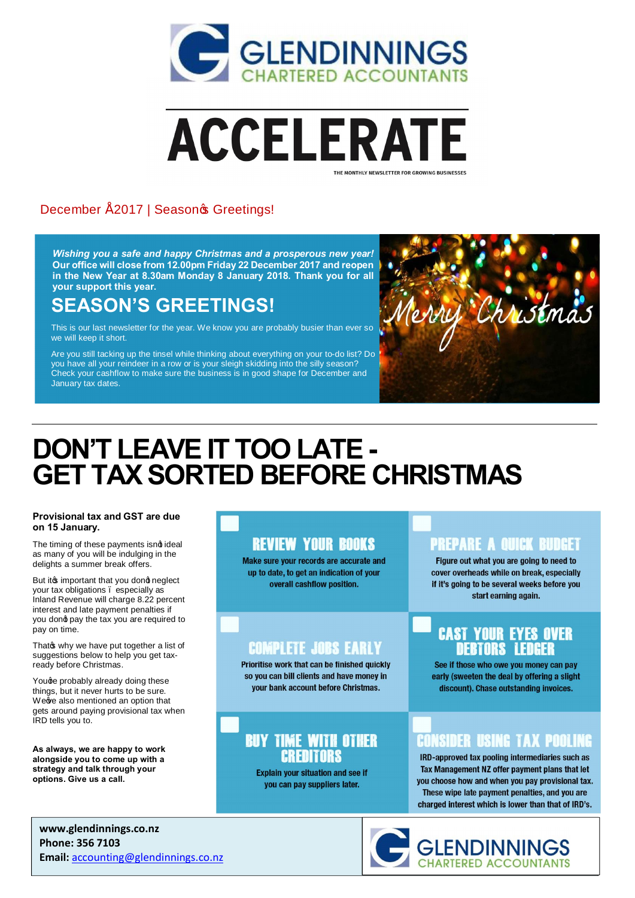



#### December " 2017 | Seasonos Greetings!

*Wishing you a safe and happy Christmas and a prosperous new year!* **Our office will close from 12.00pm Friday 22 December 2017 and reopen in the New Year at 8.30am Monday 8 January 2018. Thank you for all your support this year.**

## **SEASON'S GREETINGS!**

This is our last newsletter for the year. We know you are probably busier than ever so we will keep it short.

Are you still tacking up the tinsel while thinking about everything on your to-do list? Do you have all your reindeer in a row or is your sleigh skidding into the silly season? Check your cashflow to make sure the business is in good shape for December and January tax dates.



# **DON'T LEAVE IT TOO LATE - GET TAX SORTED BEFORE CHRISTMAS**

#### **Provisional tax and GST are due on 15 January.**

The timing of these payments isnd ideal as many of you will be indulging in the delights a summer break offers.

But it is important that you dond neglect your tax obligations – especially as Inland Revenue will charge 8.22 percent interest and late payment penalties if you dond pay the tax you are required to pay on time.

That why we have put together a list of suggestions below to help you get taxready before Christmas.

Youge probably already doing these things, but it never hurts to be sure. We we also mentioned an option that gets around paying provisional tax when IRD tells you to.

**As always, we are happy to work alongside you to come up with a strategy and talk through your options. Give us a call.**

#### **REVIEW YOUR BOOKS**

Make sure your records are accurate and up to date, to get an indication of your overall cashflow position.

#### **COMPLETE JOBS EARLY**

Prioritise work that can be finished quickly so you can bill clients and have money in vour bank account before Christmas.

#### **BUY TIME WITH OTHER CREDITORS**

**Explain your situation and see if** you can pay suppliers later.

#### PRFPARF A GIIICK RIINGFT

Figure out what you are going to need to cover overheads while on break, especially if it's going to be several weeks before you start earning again.

#### **CAST YOUR EYES OVER DEBTORS LEDGER**

See if those who owe you money can pay early (sweeten the deal by offering a slight discount). Chase outstanding invoices.

### CONSIDER USING TAX POOLING

IRD-approved tax pooling intermediaries such as Tax Management NZ offer payment plans that let you choose how and when you pay provisional tax. These wipe late payment penalties, and you are charged interest which is lower than that of IRD's.

**www.glendinnings.co.nz Phone: 356 7103 Email:** accounting@glendinnings.co.nz